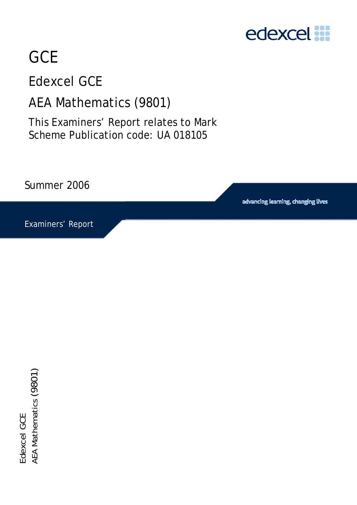

# **GCE**

## Edexcel GCE

### AEA Mathematics (9801)

This Examiners' Report relates to Mark Scheme Publication code: UA 018105

Summer 2006

advancing learning, changing lives

Examiners' Report

Edexcel GCE<br>AEA Mathematics (9801)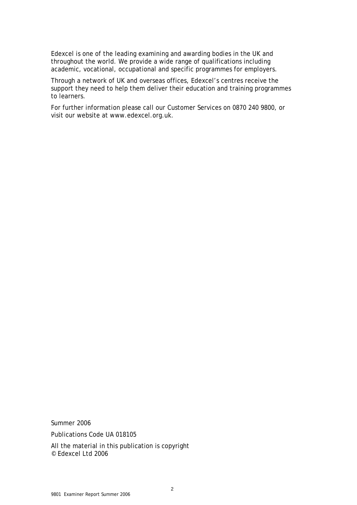Edexcel is one of the leading examining and awarding bodies in the UK and throughout the world. We provide a wide range of qualifications including academic, vocational, occupational and specific programmes for employers.

Through a network of UK and overseas offices, Edexcel's centres receive the support they need to help them deliver their education and training programmes to learners.

For further information please call our Customer Services on 0870 240 9800, or visit our website at www.edexcel.org.uk.

Summer 2006

Publications Code UA 018105

All the material in this publication is copyright © Edexcel Ltd 2006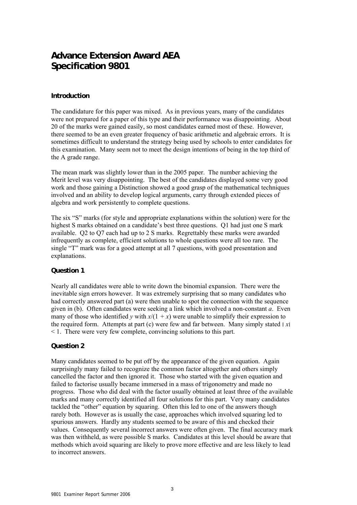### **Advance Extension Award AEA Specification 9801**

#### **Introduction**

The candidature for this paper was mixed. As in previous years, many of the candidates were not prepared for a paper of this type and their performance was disappointing. About 20 of the marks were gained easily, so most candidates earned most of these. However, there seemed to be an even greater frequency of basic arithmetic and algebraic errors. It is sometimes difficult to understand the strategy being used by schools to enter candidates for this examination. Many seem not to meet the design intentions of being in the top third of the A grade range.

The mean mark was slightly lower than in the 2005 paper. The number achieving the Merit level was very disappointing. The best of the candidates displayed some very good work and those gaining a Distinction showed a good grasp of the mathematical techniques involved and an ability to develop logical arguments, carry through extended pieces of algebra and work persistently to complete questions.

The six "S" marks (for style and appropriate explanations within the solution) were for the highest S marks obtained on a candidate's best three questions. Q1 had just one S mark available. Q2 to Q7 each had up to 2 S marks. Regrettably these marks were awarded infrequently as complete, efficient solutions to whole questions were all too rare. The single "T" mark was for a good attempt at all 7 questions, with good presentation and explanations.

#### **Question 1**

Nearly all candidates were able to write down the binomial expansion. There were the inevitable sign errors however. It was extremely surprising that so many candidates who had correctly answered part (a) were then unable to spot the connection with the sequence given in (b). Often candidates were seeking a link which involved a non-constant *a*. Even many of those who identified *y* with  $x/(1 + x)$  were unable to simplify their expression to the required form. Attempts at part (c) were few and far between. Many simply stated ׀ *x*׀ < 1. There were very few complete, convincing solutions to this part.

#### **Question 2**

Many candidates seemed to be put off by the appearance of the given equation. Again surprisingly many failed to recognize the common factor altogether and others simply cancelled the factor and then ignored it. Those who started with the given equation and failed to factorise usually became immersed in a mass of trigonometry and made no progress. Those who did deal with the factor usually obtained at least three of the available marks and many correctly identified all four solutions for this part. Very many candidates tackled the "other" equation by squaring. Often this led to one of the answers though rarely both. However as is usually the case, approaches which involved squaring led to spurious answers. Hardly any students seemed to be aware of this and checked their values. Consequently several incorrect answers were often given. The final accuracy mark was then withheld, as were possible S marks. Candidates at this level should be aware that methods which avoid squaring are likely to prove more effective and are less likely to lead to incorrect answers.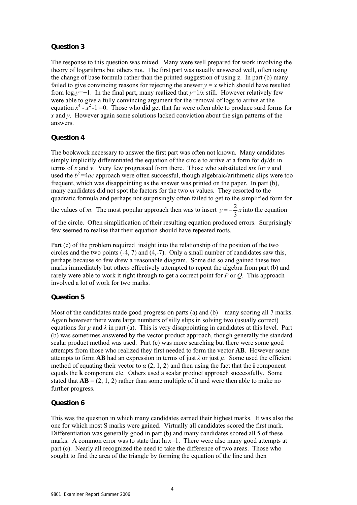#### **Question 3**

The response to this question was mixed. Many were well prepared for work involving the theory of logarithms but others not. The first part was usually answered well, often using the change of base formula rather than the printed suggestion of using z. In part (b) many failed to give convincing reasons for rejecting the answer  $y = x$  which should have resulted from  $log_v = \pm 1$ . In the final part, many realized that  $v = 1/x$  still. However relatively few were able to give a fully convincing argument for the removal of logs to arrive at the equation  $x^4 - x^2 - 1 = 0$ . Those who did get that far were often able to produce surd forms for *x* and *y*. However again some solutions lacked conviction about the sign patterns of the answers.

#### **Question 4**

The bookwork necessary to answer the first part was often not known. Many candidates simply implicitly differentiated the equation of the circle to arrive at a form for d*y*/d*x* in terms of *x* and *y*. Very few progressed from there. Those who substituted *mx* for *y* and used the  $b^2$ =4*ac* approach were often successful, though algebraic/arithmetic slips were too frequent, which was disappointing as the answer was printed on the paper. In part (b), many candidates did not spot the factors for the two *m* values. They resorted to the quadratic formula and perhaps not surprisingly often failed to get to the simplified form for

the values of *m*. The most popular approach then was to insert  $y = -\frac{2}{3}x$  into the equation

of the circle. Often simplification of their resulting equation produced errors. Surprisingly few seemed to realise that their equation should have repeated roots.

Part (c) of the problem required insight into the relationship of the position of the two circles and the two points  $(-4, 7)$  and  $(4, -7)$ . Only a small number of candidates saw this, perhaps because so few drew a reasonable diagram. Some did so and gained these two marks immediately but others effectively attempted to repeat the algebra from part (b) and rarely were able to work it right through to get a correct point for *P* or *Q*. This approach involved a lot of work for two marks.

#### **Question 5**

Most of the candidates made good progress on parts (a) and (b) – many scoring all 7 marks. Again however there were large numbers of silly slips in solving two (usually correct) equations for  $\mu$  and  $\lambda$  in part (a). This is very disappointing in candidates at this level. Part (b) was sometimes answered by the vector product approach, though generally the standard scalar product method was used. Part (c) was more searching but there were some good attempts from those who realized they first needed to form the vector **AB**. However some attempts to form **AB** had an expression in terms of just  $\lambda$  or just  $\mu$ . Some used the efficient method of equating their vector to  $\alpha$  (2, 1, 2) and then using the fact that the **i** component equals the **k** component etc. Others used a scalar product approach successfully. Some stated that  $AB = (2, 1, 2)$  rather than some multiple of it and were then able to make no further progress.

#### **Question 6**

This was the question in which many candidates earned their highest marks. It was also the one for which most S marks were gained. Virtually all candidates scored the first mark. Differentiation was generally good in part (b) and many candidates scored all 5 of these marks. A common error was to state that  $\ln x=1$ . There were also many good attempts at part (c). Nearly all recognized the need to take the difference of two areas. Those who sought to find the area of the triangle by forming the equation of the line and then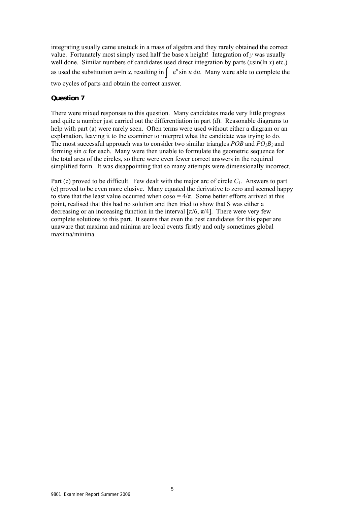integrating usually came unstuck in a mass of algebra and they rarely obtained the correct value. Fortunately most simply used half the base x height! Integration of *y* was usually well done. Similar numbers of candidates used direct integration by parts (*x*sin(ln *x*) etc.) as used the substitution  $u=ln x$ , resulting in  $\int e^u \sin u \, du$ . Many were able to complete the two cycles of parts and obtain the correct answer.

#### **Question 7**

There were mixed responses to this question. Many candidates made very little progress and quite a number just carried out the differentiation in part (d). Reasonable diagrams to help with part (a) were rarely seen. Often terms were used without either a diagram or an explanation, leaving it to the examiner to interpret what the candidate was trying to do. The most successful approach was to consider two similar triangles *POB* and  $PO_2B_2$  and forming sin  $\alpha$  for each. Many were then unable to formulate the geometric sequence for the total area of the circles, so there were even fewer correct answers in the required simplified form. It was disappointing that so many attempts were dimensionally incorrect.

Part (c) proved to be difficult. Few dealt with the major arc of circle *C*1. Answers to part (e) proved to be even more elusive. Many equated the derivative to zero and seemed happy to state that the least value occurred when  $\cos \alpha = 4/\pi$ . Some better efforts arrived at this point, realised that this had no solution and then tried to show that S was either a decreasing or an increasing function in the interval  $[\pi/6, \pi/4]$ . There were very few complete solutions to this part. It seems that even the best candidates for this paper are unaware that maxima and minima are local events firstly and only sometimes global maxima/minima.